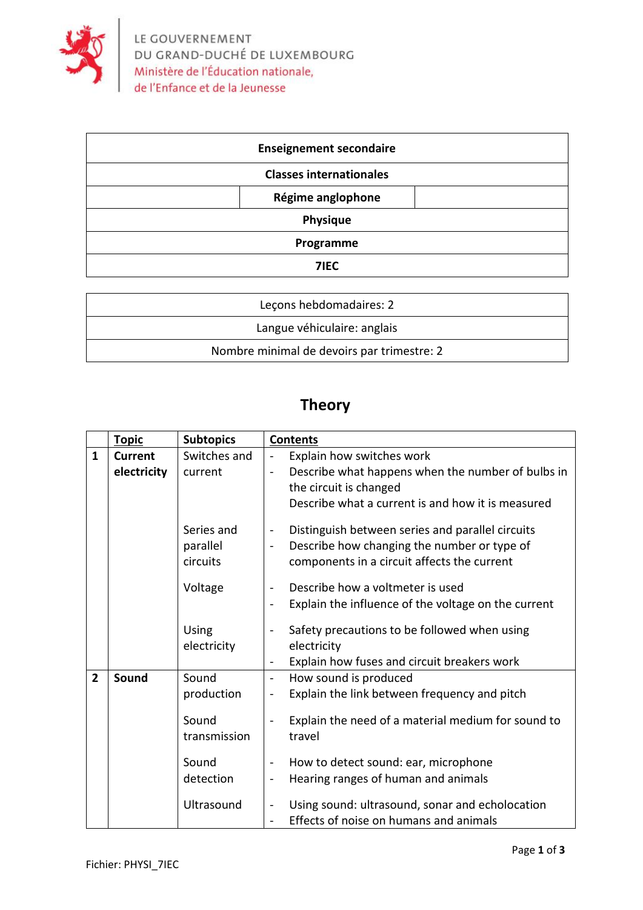

| <b>Enseignement secondaire</b> |  |  |  |
|--------------------------------|--|--|--|
| <b>Classes internationales</b> |  |  |  |
| Régime anglophone              |  |  |  |
| Physique                       |  |  |  |
| Programme                      |  |  |  |
| 71EC                           |  |  |  |

| Lecons hebdomadaires: 2                    |
|--------------------------------------------|
| Langue véhiculaire: anglais                |
| Nombre minimal de devoirs par trimestre: 2 |

## **Theory**

|                | <b>Topic</b>   | <b>Subtopics</b>                                                                 | <b>Contents</b>                                                                                                                                                                                                                                                                                                                                                                                                                                                                      |
|----------------|----------------|----------------------------------------------------------------------------------|--------------------------------------------------------------------------------------------------------------------------------------------------------------------------------------------------------------------------------------------------------------------------------------------------------------------------------------------------------------------------------------------------------------------------------------------------------------------------------------|
| $\mathbf{1}$   | <b>Current</b> | Switches and                                                                     | Explain how switches work<br>$\blacksquare$                                                                                                                                                                                                                                                                                                                                                                                                                                          |
|                | electricity    | current                                                                          | Describe what happens when the number of bulbs in<br>$\overline{a}$<br>the circuit is changed<br>Describe what a current is and how it is measured                                                                                                                                                                                                                                                                                                                                   |
|                |                | Series and<br>parallel<br>circuits                                               | Distinguish between series and parallel circuits<br>$\overline{\phantom{0}}$<br>Describe how changing the number or type of<br>$\blacksquare$<br>components in a circuit affects the current                                                                                                                                                                                                                                                                                         |
|                |                | Voltage                                                                          | Describe how a voltmeter is used<br>$\qquad \qquad \blacksquare$<br>Explain the influence of the voltage on the current<br>$\overline{\phantom{a}}$                                                                                                                                                                                                                                                                                                                                  |
|                |                | Using<br>electricity                                                             | Safety precautions to be followed when using<br>electricity<br>Explain how fuses and circuit breakers work<br>$\overline{a}$                                                                                                                                                                                                                                                                                                                                                         |
| $\overline{2}$ | Sound          | Sound<br>production<br>Sound<br>transmission<br>Sound<br>detection<br>Ultrasound | How sound is produced<br>$\qquad \qquad -$<br>Explain the link between frequency and pitch<br>$\blacksquare$<br>Explain the need of a material medium for sound to<br>travel<br>How to detect sound: ear, microphone<br>$\qquad \qquad \blacksquare$<br>Hearing ranges of human and animals<br>$\qquad \qquad \blacksquare$<br>Using sound: ultrasound, sonar and echolocation<br>$\qquad \qquad \blacksquare$<br>Effects of noise on humans and animals<br>$\overline{\phantom{a}}$ |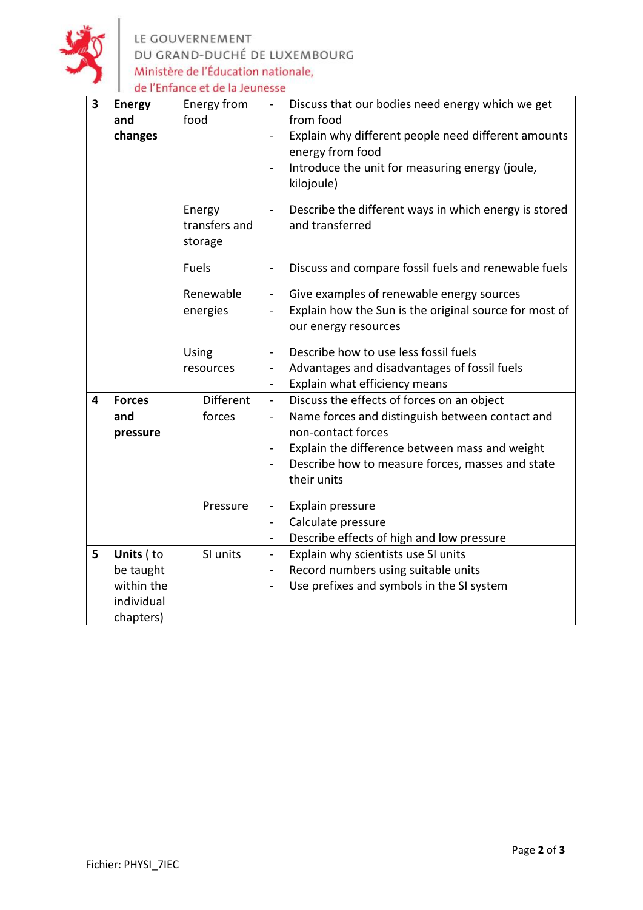

LE GOUVERNEMENT<br>DU GRAND-DUCHÉ DE LUXEMBOURG<br>Ministère de l'Éducation nationale,<br>de l'Enfance et de la Jeunesse

| 3 | <b>Energy</b><br>and<br>changes                    | Energy from<br>food                    | Discuss that our bodies need energy which we get<br>$\blacksquare$<br>from food<br>Explain why different people need different amounts<br>$\overline{\phantom{a}}$<br>energy from food<br>Introduce the unit for measuring energy (joule,<br>$\overline{\phantom{a}}$<br>kilojoule)                                                                                                                                                                  |
|---|----------------------------------------------------|----------------------------------------|------------------------------------------------------------------------------------------------------------------------------------------------------------------------------------------------------------------------------------------------------------------------------------------------------------------------------------------------------------------------------------------------------------------------------------------------------|
|   |                                                    | Energy<br>transfers and<br>storage     | Describe the different ways in which energy is stored<br>$\blacksquare$<br>and transferred                                                                                                                                                                                                                                                                                                                                                           |
|   |                                                    | <b>Fuels</b>                           | Discuss and compare fossil fuels and renewable fuels<br>$\blacksquare$                                                                                                                                                                                                                                                                                                                                                                               |
|   |                                                    | Renewable<br>energies                  | Give examples of renewable energy sources<br>$\frac{1}{2}$<br>Explain how the Sun is the original source for most of<br>$\overline{a}$<br>our energy resources                                                                                                                                                                                                                                                                                       |
|   |                                                    | Using<br>resources                     | Describe how to use less fossil fuels<br>$\overline{\phantom{0}}$<br>Advantages and disadvantages of fossil fuels<br>$\overline{a}$<br>Explain what efficiency means<br>$\blacksquare$                                                                                                                                                                                                                                                               |
| 4 | <b>Forces</b><br>and<br>pressure                   | <b>Different</b><br>forces<br>Pressure | Discuss the effects of forces on an object<br>$\blacksquare$<br>Name forces and distinguish between contact and<br>$\overline{\phantom{0}}$<br>non-contact forces<br>Explain the difference between mass and weight<br>Describe how to measure forces, masses and state<br>$\blacksquare$<br>their units<br>Explain pressure<br>$\frac{1}{2}$<br>Calculate pressure<br>$\blacksquare$<br>Describe effects of high and low pressure<br>$\overline{a}$ |
| 5 | Units (to<br>be taught<br>within the<br>individual | SI units                               | Explain why scientists use SI units<br>$\overline{a}$<br>Record numbers using suitable units<br>$\overline{a}$<br>Use prefixes and symbols in the SI system<br>$\overline{\phantom{a}}$                                                                                                                                                                                                                                                              |
|   | chapters)                                          |                                        |                                                                                                                                                                                                                                                                                                                                                                                                                                                      |